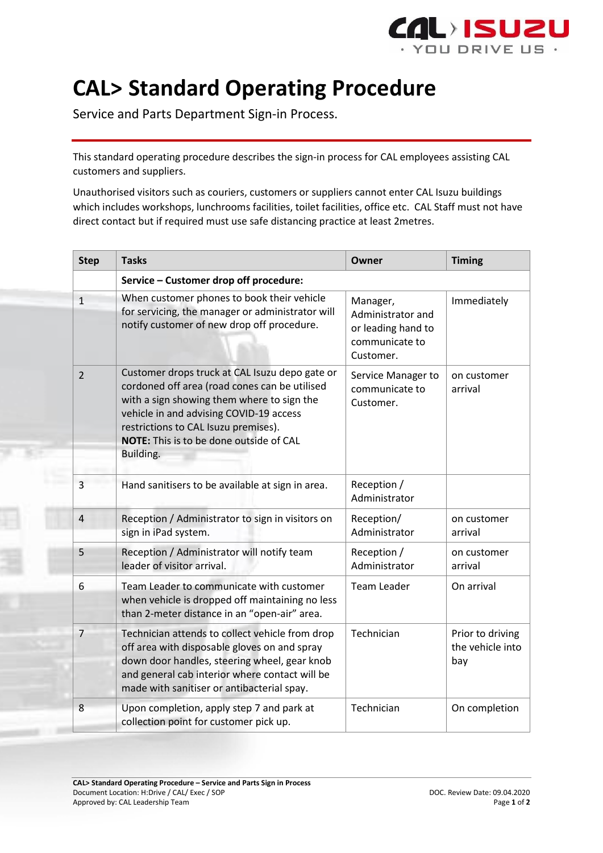

## **CAL> Standard Operating Procedure**

Service and Parts Department Sign-in Process.

This standard operating procedure describes the sign-in process for CAL employees assisting CAL customers and suppliers.

Unauthorised visitors such as couriers, customers or suppliers cannot enter CAL Isuzu buildings which includes workshops, lunchrooms facilities, toilet facilities, office etc. CAL Staff must not have direct contact but if required must use safe distancing practice at least 2metres.

| <b>Step</b>    | <b>Tasks</b>                                                                                                                                                                                                                                                                             | Owner                                                                              | <b>Timing</b>                               |  |
|----------------|------------------------------------------------------------------------------------------------------------------------------------------------------------------------------------------------------------------------------------------------------------------------------------------|------------------------------------------------------------------------------------|---------------------------------------------|--|
|                | Service - Customer drop off procedure:                                                                                                                                                                                                                                                   |                                                                                    |                                             |  |
| $\mathbf{1}$   | When customer phones to book their vehicle<br>for servicing, the manager or administrator will<br>notify customer of new drop off procedure.                                                                                                                                             | Manager,<br>Administrator and<br>or leading hand to<br>communicate to<br>Customer. | Immediately                                 |  |
| $\overline{2}$ | Customer drops truck at CAL Isuzu depo gate or<br>cordoned off area (road cones can be utilised<br>with a sign showing them where to sign the<br>vehicle in and advising COVID-19 access<br>restrictions to CAL Isuzu premises).<br>NOTE: This is to be done outside of CAL<br>Building. | Service Manager to<br>communicate to<br>Customer.                                  | on customer<br>arrival                      |  |
| $\overline{3}$ | Hand sanitisers to be available at sign in area.                                                                                                                                                                                                                                         | Reception /<br>Administrator                                                       |                                             |  |
| $\overline{4}$ | Reception / Administrator to sign in visitors on<br>sign in iPad system.                                                                                                                                                                                                                 | Reception/<br>Administrator                                                        | on customer<br>arrival                      |  |
| 5              | Reception / Administrator will notify team<br>leader of visitor arrival.                                                                                                                                                                                                                 | Reception /<br>Administrator                                                       | on customer<br>arrival                      |  |
| 6              | Team Leader to communicate with customer<br>when vehicle is dropped off maintaining no less<br>than 2-meter distance in an "open-air" area.                                                                                                                                              | <b>Team Leader</b>                                                                 | On arrival                                  |  |
| $\overline{7}$ | Technician attends to collect vehicle from drop<br>off area with disposable gloves on and spray<br>down door handles, steering wheel, gear knob<br>and general cab interior where contact will be<br>made with sanitiser or antibacterial spay.                                          | Technician                                                                         | Prior to driving<br>the vehicle into<br>bay |  |
| 8              | Upon completion, apply step 7 and park at<br>collection point for customer pick up.                                                                                                                                                                                                      | Technician                                                                         | On completion                               |  |